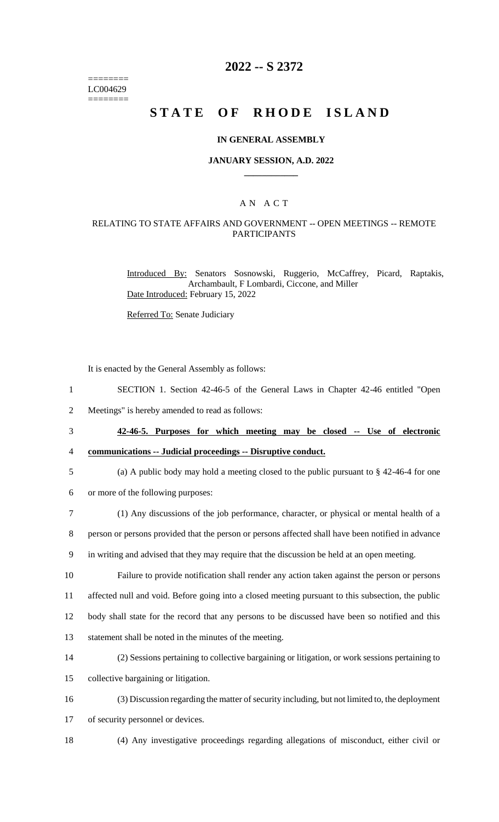======== LC004629 ========

## **2022 -- S 2372**

# **STATE OF RHODE ISLAND**

#### **IN GENERAL ASSEMBLY**

#### **JANUARY SESSION, A.D. 2022 \_\_\_\_\_\_\_\_\_\_\_\_**

### A N A C T

### RELATING TO STATE AFFAIRS AND GOVERNMENT -- OPEN MEETINGS -- REMOTE PARTICIPANTS

Introduced By: Senators Sosnowski, Ruggerio, McCaffrey, Picard, Raptakis, Archambault, F Lombardi, Ciccone, and Miller Date Introduced: February 15, 2022

Referred To: Senate Judiciary

It is enacted by the General Assembly as follows:

1 SECTION 1. Section 42-46-5 of the General Laws in Chapter 42-46 entitled "Open

2 Meetings" is hereby amended to read as follows:

3 **42-46-5. Purposes for which meeting may be closed -- Use of electronic** 

4 **communications -- Judicial proceedings -- Disruptive conduct.**

- 5 (a) A public body may hold a meeting closed to the public pursuant to § 42-46-4 for one
- 6 or more of the following purposes:
- 7 (1) Any discussions of the job performance, character, or physical or mental health of a

8 person or persons provided that the person or persons affected shall have been notified in advance

9 in writing and advised that they may require that the discussion be held at an open meeting.

 Failure to provide notification shall render any action taken against the person or persons affected null and void. Before going into a closed meeting pursuant to this subsection, the public body shall state for the record that any persons to be discussed have been so notified and this statement shall be noted in the minutes of the meeting.

14 (2) Sessions pertaining to collective bargaining or litigation, or work sessions pertaining to

15 collective bargaining or litigation.

16 (3) Discussion regarding the matter of security including, but not limited to, the deployment

17 of security personnel or devices.

18 (4) Any investigative proceedings regarding allegations of misconduct, either civil or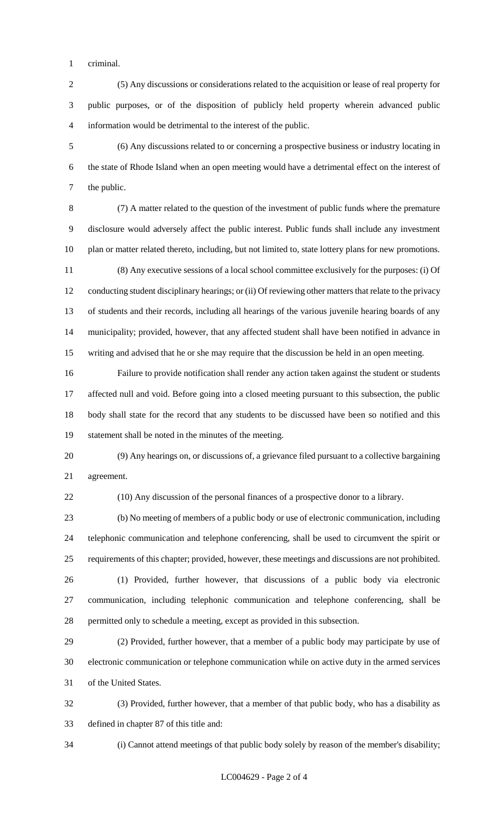criminal.

 (5) Any discussions or considerations related to the acquisition or lease of real property for public purposes, or of the disposition of publicly held property wherein advanced public information would be detrimental to the interest of the public.

 (6) Any discussions related to or concerning a prospective business or industry locating in the state of Rhode Island when an open meeting would have a detrimental effect on the interest of the public.

 (7) A matter related to the question of the investment of public funds where the premature disclosure would adversely affect the public interest. Public funds shall include any investment plan or matter related thereto, including, but not limited to, state lottery plans for new promotions. (8) Any executive sessions of a local school committee exclusively for the purposes: (i) Of 12 conducting student disciplinary hearings; or (ii) Of reviewing other matters that relate to the privacy of students and their records, including all hearings of the various juvenile hearing boards of any municipality; provided, however, that any affected student shall have been notified in advance in writing and advised that he or she may require that the discussion be held in an open meeting.

 Failure to provide notification shall render any action taken against the student or students affected null and void. Before going into a closed meeting pursuant to this subsection, the public body shall state for the record that any students to be discussed have been so notified and this statement shall be noted in the minutes of the meeting.

 (9) Any hearings on, or discussions of, a grievance filed pursuant to a collective bargaining agreement.

(10) Any discussion of the personal finances of a prospective donor to a library.

 (b) No meeting of members of a public body or use of electronic communication, including telephonic communication and telephone conferencing, shall be used to circumvent the spirit or requirements of this chapter; provided, however, these meetings and discussions are not prohibited.

 (1) Provided, further however, that discussions of a public body via electronic communication, including telephonic communication and telephone conferencing, shall be permitted only to schedule a meeting, except as provided in this subsection.

 (2) Provided, further however, that a member of a public body may participate by use of electronic communication or telephone communication while on active duty in the armed services of the United States.

 (3) Provided, further however, that a member of that public body, who has a disability as defined in chapter 87 of this title and:

(i) Cannot attend meetings of that public body solely by reason of the member's disability;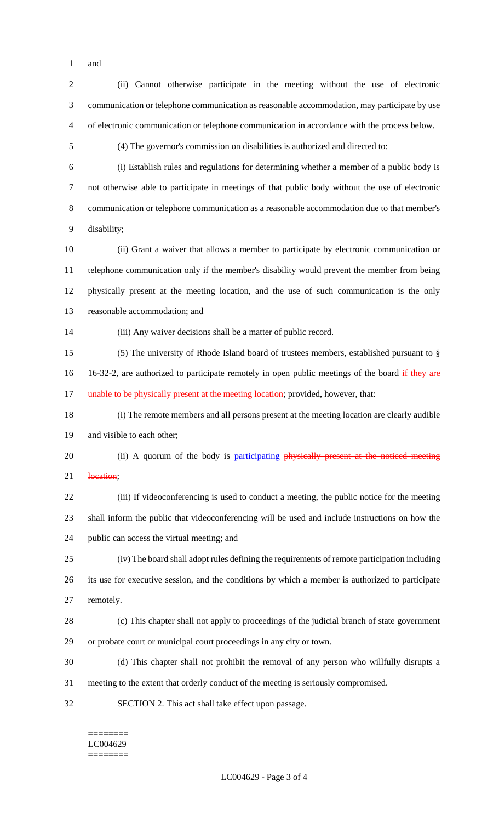and

 (ii) Cannot otherwise participate in the meeting without the use of electronic communication or telephone communication as reasonable accommodation, may participate by use of electronic communication or telephone communication in accordance with the process below. (4) The governor's commission on disabilities is authorized and directed to: (i) Establish rules and regulations for determining whether a member of a public body is not otherwise able to participate in meetings of that public body without the use of electronic communication or telephone communication as a reasonable accommodation due to that member's disability; (ii) Grant a waiver that allows a member to participate by electronic communication or telephone communication only if the member's disability would prevent the member from being physically present at the meeting location, and the use of such communication is the only reasonable accommodation; and (iii) Any waiver decisions shall be a matter of public record. (5) The university of Rhode Island board of trustees members, established pursuant to § 16 16-32-2, are authorized to participate remotely in open public meetings of the board if they are 17 unable to be physically present at the meeting location; provided, however, that: (i) The remote members and all persons present at the meeting location are clearly audible and visible to each other; 20 (ii) A quorum of the body is participating physically present at the noticed meeting 21 location; (iii) If videoconferencing is used to conduct a meeting, the public notice for the meeting shall inform the public that videoconferencing will be used and include instructions on how the public can access the virtual meeting; and (iv) The board shall adopt rules defining the requirements of remote participation including its use for executive session, and the conditions by which a member is authorized to participate remotely. (c) This chapter shall not apply to proceedings of the judicial branch of state government or probate court or municipal court proceedings in any city or town. (d) This chapter shall not prohibit the removal of any person who willfully disrupts a meeting to the extent that orderly conduct of the meeting is seriously compromised.

======== LC004629

SECTION 2. This act shall take effect upon passage.

========